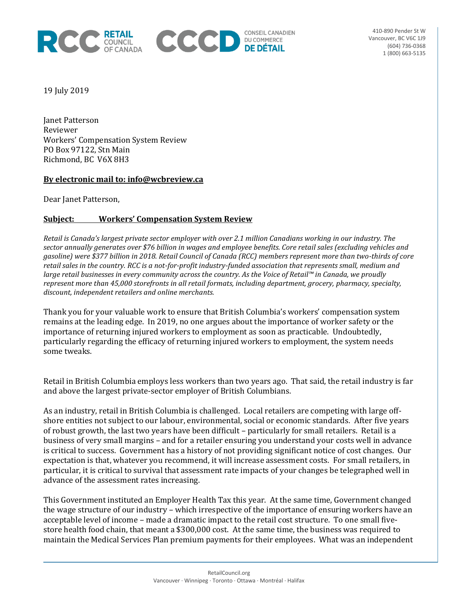



410-890 Pender St W Vancouver, BC V6C 1J9 (604) 736-0368 1 (800) 663-5135

19 July 2019

Janet Patterson Reviewer Workers' Compensation System Review PO Box 97122, Stn Main Richmond, BC V6X 8H3

## **By electronic mail to: info@wcbreview.ca**

Dear Janet Patterson,

## **Subject: Workers' Compensation System Review**

*Retail is Canada's largest private sector employer with over 2.1 million Canadians working in our industry. The sector annually generates over \$76 billion in wages and employee benefits. Core retail sales (excluding vehicles and gasoline) were \$377 billion in 2018. Retail Council of Canada (RCC) members represent more than two-thirds of core retail sales in the country. RCC is a not-for-profit industry-funded association that represents small, medium and large retail businesses in every community across the country. As the Voice of Retail™ in Canada, we proudly represent more than 45,000 storefronts in all retail formats, including department, grocery, pharmacy, specialty, discount, independent retailers and online merchants.*

Thank you for your valuable work to ensure that British Columbia's workers' compensation system remains at the leading edge. In 2019, no one argues about the importance of worker safety or the importance of returning injured workers to employment as soon as practicable. Undoubtedly, particularly regarding the efficacy of returning injured workers to employment, the system needs some tweaks.

Retail in British Columbia employs less workers than two years ago. That said, the retail industry is far and above the largest private-sector employer of British Columbians.

As an industry, retail in British Columbia is challenged. Local retailers are competing with large offshore entities not subject to our labour, environmental, social or economic standards. After five years of robust growth, the last two years have been difficult – particularly for small retailers. Retail is a business of very small margins – and for a retailer ensuring you understand your costs well in advance is critical to success. Government has a history of not providing significant notice of cost changes. Our expectation is that, whatever you recommend, it will increase assessment costs. For small retailers, in particular, it is critical to survival that assessment rate impacts of your changes be telegraphed well in advance of the assessment rates increasing.

This Government instituted an Employer Health Tax this year. At the same time, Government changed the wage structure of our industry – which irrespective of the importance of ensuring workers have an acceptable level of income – made a dramatic impact to the retail cost structure. To one small fivestore health food chain, that meant a \$300,000 cost. At the same time, the business was required to maintain the Medical Services Plan premium payments for their employees. What was an independent